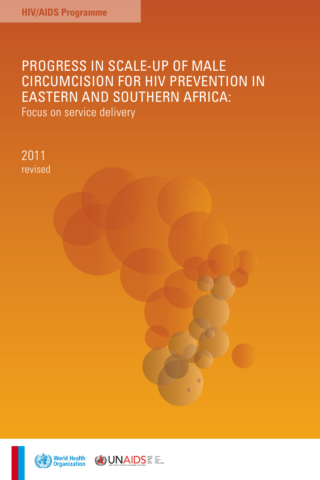# Progress in scale-up of male circumcision for HIV prevention in Eastern and Southern Africa:

Focus on service delivery

2011 revised



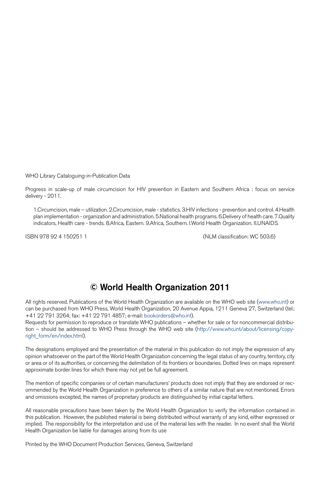WHO Library Cataloguing-in-Publication Data

Progress in scale-up of male circumcision for HIV prevention in Eastern and Southern Africa : focus on service delivery - 2011.

1.Circumcision, male – utilization. 2.Circumcision, male - statistics. 3.HIV infections - prevention and control. 4.Health plan implementation - organization and administration. 5.National health programs. 6.Delivery of health care. 7.Quality indicators, Health care - trends. 8.Africa, Eastern. 9.Africa, Southern. I.World Health Organization. II.UNAIDS.

ISBN 978 92 4 150251 1 (NLM classification: WC 503.6)

#### © World Health Organization 2011

All rights reserved. Publications of the World Health Organization are available on the WHO web site [\(www.who.int](www.who.int)) or can be purchased from WHO Press, World Health Organization, 20 Avenue Appia, 1211 Geneva 27, Switzerland (tel.: +41 22 791 3264; fax: +41 22 791 4857; e-mail: [bookorders@who.int](mailto: bookorders@who.int)).

Requests for permission to reproduce or translate WHO publications – whether for sale or for noncommercial distribution – should be addressed to WHO Press through the WHO web site [\(http://www.who.int/about/licensing/copy](http://www.who.int/about/licensing/copyright_form/en/index.html)[right\\_form/en/index.html\)](http://www.who.int/about/licensing/copyright_form/en/index.html).

The designations employed and the presentation of the material in this publication do not imply the expression of any opinion whatsoever on the part of the World Health Organization concerning the legal status of any country, territory, city or area or of its authorities, or concerning the delimitation of its frontiers or boundaries. Dotted lines on maps represent approximate border lines for which there may not yet be full agreement.

The mention of specific companies or of certain manufacturers' products does not imply that they are endorsed or recommended by the World Health Organization in preference to others of a similar nature that are not mentioned. Errors and omissions excepted, the names of proprietary products are distinguished by initial capital letters.

All reasonable precautions have been taken by the World Health Organization to verify the information contained in this publication. However, the published material is being distributed without warranty of any kind, either expressed or implied. The responsibility for the interpretation and use of the material lies with the reader. In no event shall the World Health Organization be liable for damages arising from its use

Printed by the WHO Document Production Services, Geneva, Switzerland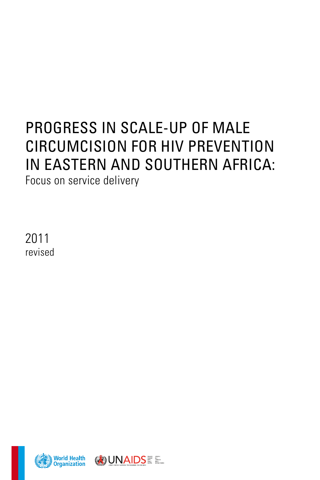# Progress in scale-up of male circumcision for HIV prevention in Eastern and Southern Africa: Focus on service delivery

2011 revised



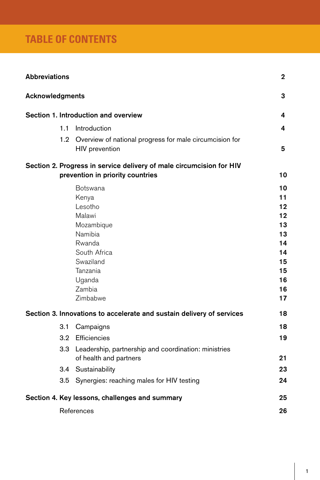## **TABLE OF CONTENTS**

| <b>Abbreviations</b> |                                                                                                          | 2        |
|----------------------|----------------------------------------------------------------------------------------------------------|----------|
| Acknowledgments      |                                                                                                          | 3        |
|                      | Section 1. Introduction and overview                                                                     | 4        |
| 1.1                  | Introduction                                                                                             | 4        |
|                      | 1.2 Overview of national progress for male circumcision for<br><b>HIV</b> prevention                     | 5        |
|                      | Section 2. Progress in service delivery of male circumcision for HIV<br>prevention in priority countries | 10       |
|                      | Botswana                                                                                                 | 10       |
|                      | Kenya                                                                                                    | 11       |
|                      | Lesotho                                                                                                  | 12       |
|                      | Malawi                                                                                                   | 12       |
|                      | Mozambique                                                                                               | 13       |
|                      | Namibia<br>Rwanda                                                                                        | 13<br>14 |
|                      | South Africa                                                                                             | 14       |
|                      | Swaziland                                                                                                | 15       |
|                      | Tanzania                                                                                                 | 15       |
|                      | Uganda                                                                                                   | 16       |
|                      | Zambia                                                                                                   | 16       |
|                      | Zimbabwe                                                                                                 | 17       |
|                      | Section 3. Innovations to accelerate and sustain delivery of services                                    | 18       |
| 3.1                  | Campaigns                                                                                                | 18       |
| 3.2 <sub>1</sub>     | Efficiencies                                                                                             | 19       |
| 3.3                  | Leadership, partnership and coordination: ministries<br>of health and partners                           | 21       |
|                      | 3.4 Sustainability                                                                                       | 23       |
| 3.5                  | Synergies: reaching males for HIV testing                                                                | 24       |
|                      | Section 4. Key lessons, challenges and summary                                                           | 25       |
|                      | References                                                                                               | 26       |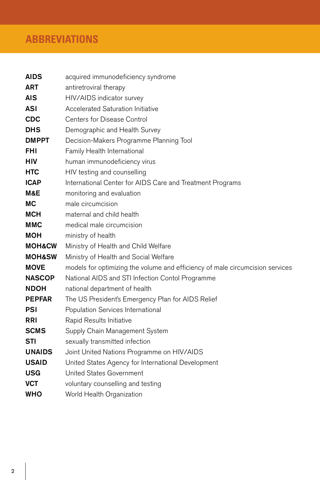### <span id="page-5-0"></span>**Abbreviations**

| <b>AIDS</b>       | acquired immunodeficiency syndrome                                            |
|-------------------|-------------------------------------------------------------------------------|
| <b>ART</b>        | antiretroviral therapy                                                        |
| AIS               | HIV/AIDS indicator survey                                                     |
| <b>ASI</b>        | <b>Accelerated Saturation Initiative</b>                                      |
| <b>CDC</b>        | Centers for Disease Control                                                   |
| <b>DHS</b>        | Demographic and Health Survey                                                 |
| <b>DMPPT</b>      | Decision-Makers Programme Planning Tool                                       |
| FHI               | Family Health International                                                   |
| <b>HIV</b>        | human immunodeficiency virus                                                  |
| <b>HTC</b>        | HIV testing and counselling                                                   |
| <b>ICAP</b>       | International Center for AIDS Care and Treatment Programs                     |
| M&E               | monitoring and evaluation                                                     |
| МC                | male circumcision                                                             |
| <b>MCH</b>        | maternal and child health                                                     |
| <b>MMC</b>        | medical male circumcision                                                     |
| <b>MOH</b>        | ministry of health                                                            |
| <b>MOH&amp;CW</b> | Ministry of Health and Child Welfare                                          |
| <b>MOH&amp;SW</b> | Ministry of Health and Social Welfare                                         |
| <b>MOVE</b>       | models for optimizing the volume and efficiency of male circumcision services |
| <b>NASCOP</b>     | National AIDS and STI Infection Contol Programme                              |
| <b>NDOH</b>       | national department of health                                                 |
| <b>PEPFAR</b>     | The US President's Emergency Plan for AIDS Relief                             |
| <b>PSI</b>        | Population Services International                                             |
| <b>RRI</b>        | Rapid Results Initiative                                                      |
| <b>SCMS</b>       | Supply Chain Management System                                                |
| <b>STI</b>        | sexually transmitted infection                                                |
| <b>UNAIDS</b>     | Joint United Nations Programme on HIV/AIDS                                    |
| <b>USAID</b>      | United States Agency for International Development                            |
| <b>USG</b>        | United States Government                                                      |
| <b>VCT</b>        | voluntary counselling and testing                                             |
| WHO               | World Health Organization                                                     |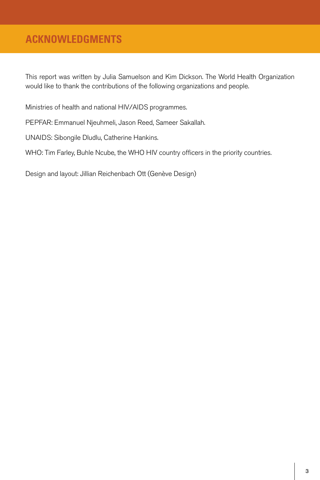<span id="page-6-0"></span>This report was written by Julia Samuelson and Kim Dickson. The World Health Organization would like to thank the contributions of the following organizations and people.

Ministries of health and national HIV/AIDS programmes.

PEPFAR: Emmanuel Njeuhmeli, Jason Reed, Sameer Sakallah.

UNAIDS: Sibongile Dludlu, Catherine Hankins.

WHO: Tim Farley, Buhle Ncube, the WHO HIV country officers in the priority countries.

Design and layout: Jillian Reichenbach Ott (Genève Design)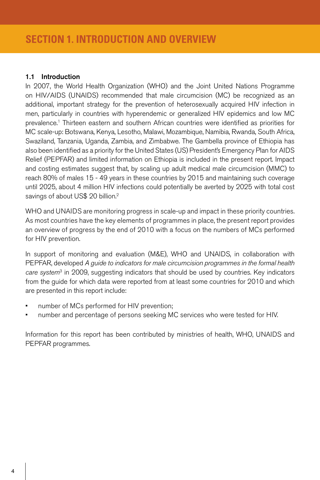#### <span id="page-7-0"></span>1.1 Introduction

In 2007, the World Health Organization (WHO) and the Joint United Nations Programme on HIV/AIDS (UNAIDS) recommended that male circumcision (MC) be recognized as an additional, important strategy for the prevention of heterosexually acquired HIV infection in men, particularly in countries with hyperendemic or generalized HIV epidemics and low MC prevalence.1 Thirteen eastern and southern African countries were identified as priorities for MC scale-up: Botswana, Kenya, Lesotho, Malawi, Mozambique, Namibia, Rwanda, South Africa, Swaziland, Tanzania, Uganda, Zambia, and Zimbabwe. The Gambella province of Ethiopia has also been identified as a priority for the United States (US) President's Emergency Plan for AIDS Relief (PEPFAR) and limited information on Ethiopia is included in the present report. Impact and costing estimates suggest that, by scaling up adult medical male circumcision (MMC) to reach 80% of males 15 - 49 years in these countries by 2015 and maintaining such coverage until 2025, about 4 million HIV infections could potentially be averted by 2025 with total cost savings of about US\$ 20 billion.<sup>2</sup>

WHO and UNAIDS are monitoring progress in scale-up and impact in these priority countries. As most countries have the key elements of programmes in place, the present report provides an overview of progress by the end of 2010 with a focus on the numbers of MCs performed for HIV prevention.

In support of monitoring and evaluation (M&E), WHO and UNAIDS, in collaboration with PEPFAR, developed *A guide to indicators for male circumcision programmes in the formal health care system*3 in 2009, suggesting indicators that should be used by countries. Key indicators from the guide for which data were reported from at least some countries for 2010 and which are presented in this report include:

- number of MCs performed for HIV prevention;
- number and percentage of persons seeking MC services who were tested for HIV.

Information for this report has been contributed by ministries of health, WHO, UNAIDS and PEPFAR programmes.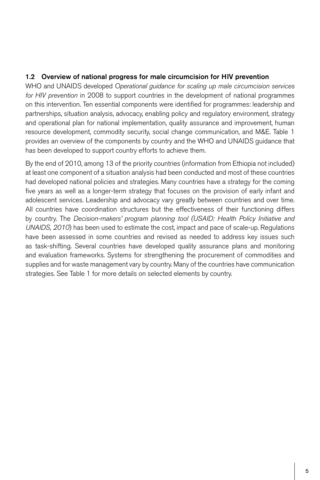#### <span id="page-8-0"></span>1.2 Overview of national progress for male circumcision for HIV prevention

WHO and UNAIDS developed *Operational guidance for scaling up male circumcision services for HIV prevention* in 2008 to support countries in the development of national programmes on this intervention. Ten essential components were identified for programmes: leadership and partnerships, situation analysis, advocacy, enabling policy and regulatory environment, strategy and operational plan for national implementation, quality assurance and improvement, human resource development, commodity security, social change communication, and M&E. Table 1 provides an overview of the components by country and the WHO and UNAIDS guidance that has been developed to support country efforts to achieve them.

By the end of 2010, among 13 of the priority countries (information from Ethiopia not included) at least one component of a situation analysis had been conducted and most of these countries had developed national policies and strategies. Many countries have a strategy for the coming five years as well as a longer-term strategy that focuses on the provision of early infant and adolescent services. Leadership and advocacy vary greatly between countries and over time. All countries have coordination structures but the effectiveness of their functioning differs by country. The *Decision-makers' program planning tool (USAID: Health Policy Initiative and UNAIDS, 2010*) has been used to estimate the cost, impact and pace of scale-up. Regulations have been assessed in some countries and revised as needed to address key issues such as task-shifting. Several countries have developed quality assurance plans and monitoring and evaluation frameworks. Systems for strengthening the procurement of commodities and supplies and for waste management vary by country. Many of the countries have communication strategies. See Table 1 for more details on selected elements by country.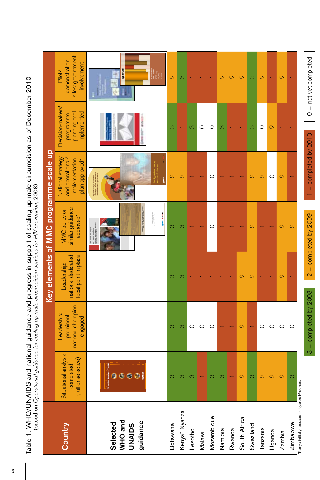Table 1. WHO/UNAIDS and national guidance and progress in support of scaling up male circumcision as of December 2010<br>(based on *Operational guidance for scaling up male circumcision services for HIV prevention*, 2008) Table 1. WHO/UNAIDS and national guidance and progress in support of scaling up male circumcision as of December 2010 (based on *Operational guidance for scaling up male circumcision services for HIV prevention*, 2008)

|                                                  |                                                                              |                                                          |                                                           |                                                           | Key elements of MMC programme scale up                                                            |                                                               |                                                             |
|--------------------------------------------------|------------------------------------------------------------------------------|----------------------------------------------------------|-----------------------------------------------------------|-----------------------------------------------------------|---------------------------------------------------------------------------------------------------|---------------------------------------------------------------|-------------------------------------------------------------|
| Country                                          | Situational analysis<br>(full or selective)<br>completed                     | national champion<br>Leadership:<br>prominent<br>engaged | focal point in place<br>national dedicated<br>Leadership: | similar guidance<br>MMC policy or<br>approved*            | National strategy<br>implementation<br>and operational,<br>plan approved*                         | Decision-makers'<br>implemented<br>planning tool<br>programme | sites: government<br>demonstration<br>involvement<br>Pilot/ |
| Selected<br>WHO and<br>guidance<br><b>UNAIDS</b> | Situation Analysis Toolkit<br>C<br>$\bigcirc$ $\bigcirc$ $\bigcirc$ $\vdots$ |                                                          |                                                           | Data a Mala Crosse chine and HV Pre<br><b>Stand Frida</b> | Operational guidance for scaling up male circums is<br>isometric services for HIV provention<br>刲 |                                                               | $\left(\frac{\partial}{\partial t}\right)$ dependent        |
| Botswana                                         | S                                                                            | S                                                        | S                                                         | S                                                         | $\infty$                                                                                          | S                                                             | $\infty$                                                    |
| Kenya* Nyanza                                    | m                                                                            | S                                                        | ო                                                         | S                                                         | $\infty$                                                                                          |                                                               | S                                                           |
| Lesotho                                          | S                                                                            | $\circ$                                                  |                                                           |                                                           |                                                                                                   | S                                                             |                                                             |
| Malawi                                           |                                                                              | $\circ$                                                  |                                                           | $\blacksquare$                                            | ۳                                                                                                 | $\circ$                                                       |                                                             |
| Mozambique                                       | က                                                                            | $\circ$                                                  |                                                           | $\circ$                                                   | O                                                                                                 | O                                                             |                                                             |
| Namibia                                          | ന                                                                            |                                                          |                                                           |                                                           |                                                                                                   | S                                                             | $\infty$                                                    |
| Rwanda                                           |                                                                              | ÷                                                        |                                                           |                                                           |                                                                                                   |                                                               | $\infty$                                                    |
| South Africa                                     | $\infty$                                                                     | $\infty$                                                 | $\infty$                                                  | ۳                                                         | ۳                                                                                                 | $\overline{\phantom{0}}$                                      | $\infty$                                                    |
| Swaziland                                        | ო                                                                            |                                                          | $\infty$                                                  | $\infty$                                                  | $\infty$                                                                                          | S                                                             | S                                                           |
| Tanzania                                         | $\infty$                                                                     | $\circ$                                                  |                                                           | ٣                                                         | $\infty$                                                                                          | $\circ$                                                       | $\infty$                                                    |
| Uganda                                           | $\infty$                                                                     | $\circ$                                                  |                                                           |                                                           | O                                                                                                 | $\infty$                                                      | $\overline{ }$                                              |
| Zambia                                           | $\infty$                                                                     | $\circ$                                                  | $\infty$                                                  | $\infty$                                                  | $\infty$                                                                                          | $\overline{\phantom{0}}$                                      | $\infty$                                                    |
| Zimbabwe                                         | S                                                                            | $\circ$                                                  |                                                           | $\infty$                                                  |                                                                                                   |                                                               |                                                             |
| *Kenya initially focused in Nyanza Province.     |                                                                              |                                                          |                                                           |                                                           |                                                                                                   |                                                               |                                                             |
|                                                  |                                                                              | = completed by 2008<br>$\infty$                          | $\infty$                                                  | = completed by 2009                                       | $1 =$ completed by $2010$                                                                         |                                                               | $0 = not yet completed$                                     |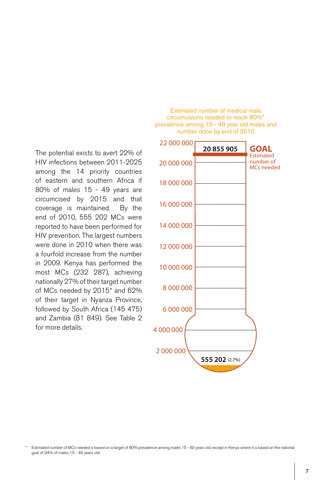The potential exists to avert 22% of HIV infections between 2011-2025 among the 14 priority countries of eastern and southern Africa if 80% of males 15 - 49 years are circumcised by 2015 and that coverage is maintained. By the end of 2010, 555 202 MCs were reported to have been performed for HIV prevention. The largest numbers were done in 2010 when there was a fourfold increase from the number in 2009. Kenya has performed the most MCs (232 287), achieving nationally 27% of their target number of MCs needed by 2015\* and 62% of their target in Nyanza Province, followed by South Africa (145 475) and Zambia (81 849). See Table 2 for more details.



Estimated number of medical male circumcisions needed to reach 80%\* prevalence among 15 - 49 year old males and

\* Estimated number of MCs needed is based on a target of 80% prevalence among males 15 - 49 years old; except in Kenya where it is based on the national goal of 94% of males 15 - 49 years old.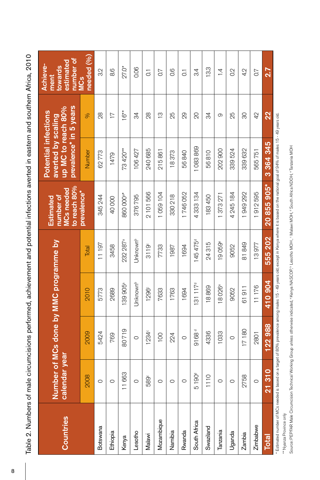| Countries    | calendar<br>Number | of MCs done by MMC programme by<br>year |                      |                     | to reach 80%<br><b>MCs needed</b><br>number of<br>Estimated | prevalence* in 5 years<br>up MC to reach 80%<br>Potential infections<br>averted by scaling |                 | number of<br>estimated<br>Achieve-<br>towards<br>ment |
|--------------|--------------------|-----------------------------------------|----------------------|---------------------|-------------------------------------------------------------|--------------------------------------------------------------------------------------------|-----------------|-------------------------------------------------------|
|              | 2008               | 2009                                    | 2010                 | Total               | prevalence*                                                 | Number                                                                                     | Sp.             | needed (%)<br><b>MCs</b>                              |
| Botswana     | $\circ$            | 5424                                    | 5773                 | 11 197              | 345 244                                                     | 62773                                                                                      | $\frac{8}{2}$   | 32                                                    |
| Ethiopia     | $\circ$            | 769                                     | 2689                 | 3458                | 40000                                                       | 1479                                                                                       | $\overline{11}$ | 8.6                                                   |
| Kenya        | 11663              | 80719                                   | 139 905 <sup>ª</sup> | 232 287ª            | 860000a*                                                    | 73420**                                                                                    | $16**$          | 270 <sup>*</sup>                                      |
| Lesotho      | $\circ$            | $\circ$                                 | Unknownb             | Unknownb            | 376795                                                      | 106427                                                                                     | 34              | 0.06                                                  |
| Malawi       | 589                | 1234 <sup>c</sup>                       | 1296°                | 3119                | 2101566                                                     | 240 685                                                                                    | $\frac{8}{2}$   | $\overline{O}$                                        |
| Mozambique   | $\circ$            | 100                                     | 7633                 | 7733                | 1059104                                                     | 215861                                                                                     | ო               | 0.7                                                   |
| Namibia      | $\circ$            | 224                                     | 1763                 | 1987                | 330218                                                      | 8373                                                                                       | 25              | 0.6                                                   |
| Rwanda       | $\circ$            | $\circ$                                 | 1694                 | 1694                | 1746052                                                     | 56840                                                                                      | 29              | $\overline{C}$                                        |
| South Africa | 5190 <sup>d</sup>  | 9168                                    | 131117 <sup>d</sup>  | 145475 <sup>d</sup> | 4333134                                                     | 1083869                                                                                    | $\overline{20}$ | 34                                                    |
| Swaziland    | 1110               | 4336                                    | 18869                | 24315               | 183450                                                      | 56810                                                                                      | 34              | 133                                                   |
| Tanzania     | $\circ$            | 1033                                    | 18026 <sup>e</sup>   | 19059               | 1373271                                                     | 202900                                                                                     | σ               | $\overline{4}$                                        |
| Uganda       | $\circ$            | $\circ$                                 | 9052                 | 9052                | 4 245 184                                                   | 339524                                                                                     | 25              | $\overline{O}$                                        |
| Zambia       | 2758               | 17180                                   | 61911                | 81849               | 1949292                                                     | 339632                                                                                     | 80              | 42                                                    |
| Zimbabwe     | $\circ$            | 2801                                    | 11176                | 13977               | 912595                                                      | 565751                                                                                     | 42              | 0.7                                                   |
| <b>Total</b> | 21310              | 122988                                  | 410 904              | 555 202             | 20 855 905*                                                 | 3 364 345                                                                                  | 22              | 2.7                                                   |

Table 2. Numbers of male circumcisions performed, achievement and potential infections averted in eastern and southern Africa, 2010 Table 2. Numbers of male circumcisions performed, achievement and potential infections averted in eastern and southern Africa, 2010

" Estimated number of MCs needed is based on a target of 80% prevalence among males 15 - 49 years old; except in Kenya where it is based on the national goal of 94% of males 15 - 49 years old. \* Estimated number of MCs needed is based on a target of 80% prevalence among males 15 - 49 years old; except in Kenya where it is based on the national goal of 94% of males 15 - 49 years old. \*\* Nyanza Province only

Source: PEPFAR Male Circumcision Technical Working Group unless otherwise indicated, a Kenya NASCOP, b Lesotho MOH , c Malawi MOH, d South Africa NDOH, e Tanzania MOH

Source: PEPFAR Male Circumcision Technical Working Group unless otherwise indicated, "Kenya NASCOP," Lesotho MOH, " Malawi MOH, " South Africa NDOH, " Tanzania MOH \*\* Nyanza Province only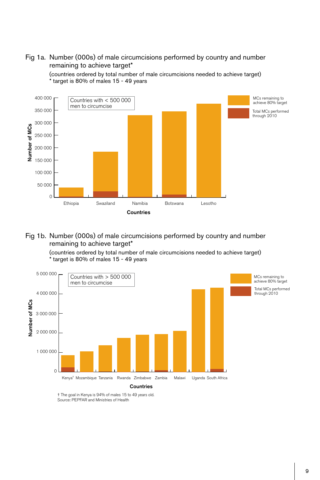Fig 1a. Number (000s) of male circumcisions performed by country and number remaining to achieve target\*





#### Fig 1b. Number (000s) of male circumcisions performed by country and number remaining to achieve target\*

(countries ordered by total number of male circumcisions needed to achieve target) \* target is 80% of males 15 - 49 years



† The goal in Kenya is 94% of males 15 to 49 years old. Source: PEPFAR and Ministries of Health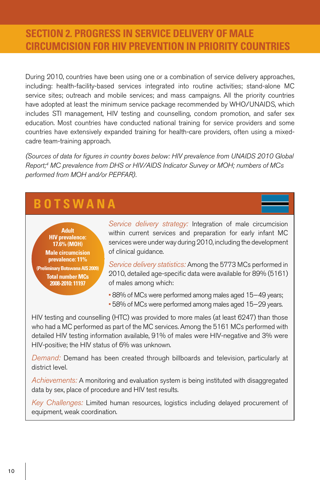### <span id="page-13-0"></span>**Section 2. Progress in service delivery of male circumcision for HIV prevention in priority countries**

During 2010, countries have been using one or a combination of service delivery approaches, including: health-facility-based services integrated into routine activities; stand-alone MC service sites; outreach and mobile services; and mass campaigns. All the priority countries have adopted at least the minimum service package recommended by WHO/UNAIDS, which includes STI management, HIV testing and counselling, condom promotion, and safer sex education. Most countries have conducted national training for service providers and some countries have extensively expanded training for health-care providers, often using a mixedcadre team-training approach.

*(Sources of data for figures in country boxes below: HIV prevalence from UNAIDS 2010 Global Report;4 MC prevalence from DHS or HIV/AIDS Indicator Survey or MOH; numbers of MCs performed from MOH and/or PEPFAR).*

## **B ot swa n a**



*Service delivery strategy:* Integration of male circumcision within current services and preparation for early infant MC services were under way during 2010, including the development of clinical guidance.

*Service delivery statistics:* Among the 5773 MCs performed in 2010, detailed age-specific data were available for 89% (5161) of males among which:

- 88% of MCs were performed among males aged 15−49 years;
- 58% of MCs were performed among males aged 15−29 years.

HIV testing and counselling (HTC) was provided to more males (at least 6247) than those who had a MC performed as part of the MC services. Among the 5161 MCs performed with detailed HIV testing information available, 91% of males were HIV-negative and 3% were HIV-positive; the HIV status of 6% was unknown.

*Demand:* Demand has been created through billboards and television, particularly at district level.

*Achievements:* A monitoring and evaluation system is being instituted with disaggregated data by sex, place of procedure and HIV test results.

*Key Challenges:* Limited human resources, logistics including delayed procurement of equipment, weak coordination.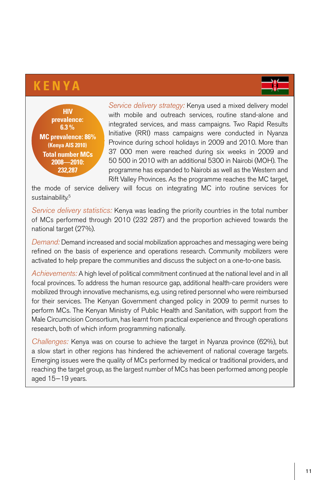## <span id="page-14-0"></span>**Ken y a**



**HIV prevalence: 6.3 % MC prevalence: 86% (Kenya AIS 2010) Total number MCs 2008—2010: 232,287**

*Service delivery strategy:* Kenya used a mixed delivery model with mobile and outreach services, routine stand-alone and integrated services, and mass campaigns. Two Rapid Results Initiative (RRI) mass campaigns were conducted in Nyanza Province during school holidays in 2009 and 2010. More than 37 000 men were reached during six weeks in 2009 and 50 500 in 2010 with an additional 5300 in Nairobi (MOH). The programme has expanded to Nairobi as well as the Western and Rift Valley Provinces. As the programme reaches the MC target,

the mode of service delivery will focus on integrating MC into routine services for sustainability.<sup>5</sup>

*Service delivery statistics:* Kenya was leading the priority countries in the total number of MCs performed through 2010 (232 287) and the proportion achieved towards the national target (27%).

*Demand:* Demand increased and social mobilization approaches and messaging were being refined on the basis of experience and operations research. Community mobilizers were activated to help prepare the communities and discuss the subject on a one-to-one basis.

*Achievements:* A high level of political commitment continued at the national level and in all focal provinces. To address the human resource gap, additional health-care providers were mobilized through innovative mechanisms, e.g. using retired personnel who were reimbursed for their services. The Kenyan Government changed policy in 2009 to permit nurses to perform MCs. The Kenyan Ministry of Public Health and Sanitation, with support from the Male Circumcision Consortium, has learnt from practical experience and through operations research, both of which inform programming nationally.

*Challenges:* Kenya was on course to achieve the target in Nyanza province (62%), but a slow start in other regions has hindered the achievement of national coverage targets. Emerging issues were the quality of MCs performed by medical or traditional providers, and reaching the target group, as the largest number of MCs has been performed among people aged 15−19 years.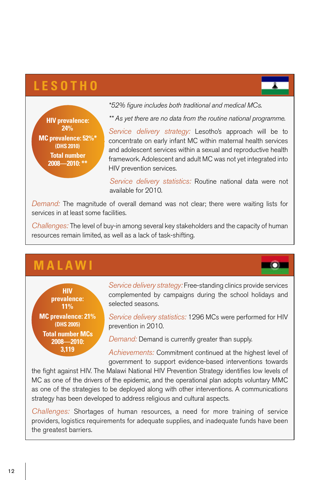### <span id="page-15-0"></span>**L e s ot h o**

**HIV prevalence: 24% MC prevalence: 52%\* (DHS 2010) Total number 2008—2010: \*\***

*\*52% figure includes both traditional and medical MCs.*

*\*\* As yet there are no data from the routine national programme*.

*Service delivery strategy:* Lesotho's approach will be to concentrate on early infant MC within maternal health services and adolescent services within a sexual and reproductive health framework. Adolescent and adult MC was not yet integrated into HIV prevention services.

*Service delivery statistics:* Routine national data were not available for 2010.

*Demand:* The magnitude of overall demand was not clear; there were waiting lists for services in at least some facilities.

*Challenges:* The level of buy-in among several key stakeholders and the capacity of human resources remain limited, as well as a lack of task-shifting.

### **M a l awi**

**HIV prevalence: 11% MC prevalence: 21% (DHS 2005) Total number MCs 2008—2010: 3,119**

*Service delivery strategy:* Free-standing clinics provide services complemented by campaigns during the school holidays and selected seasons.

**COL** 

*Service delivery statistics:* 1296 MCs were performed for HIV prevention in 2010.

*Demand:* Demand is currently greater than supply.

*Achievements:* Commitment continued at the highest level of government to support evidence-based interventions towards

the fight against HIV. The Malawi National HIV Prevention Strategy identifies low levels of MC as one of the drivers of the epidemic, and the operational plan adopts voluntary MMC as one of the strategies to be deployed along with other interventions. A communications strategy has been developed to address religious and cultural aspects.

*Challenges:* Shortages of human resources, a need for more training of service providers, logistics requirements for adequate supplies, and inadequate funds have been the greatest barriers.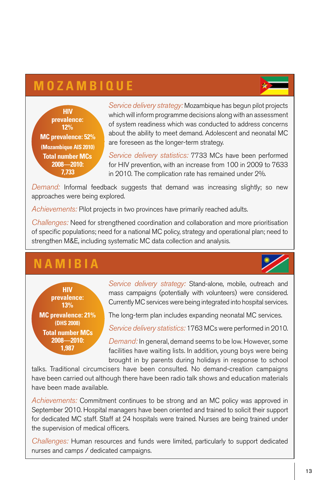## <span id="page-16-0"></span>**Mo zam b iqu e**



**HIV prevalence: 12% MC prevalence: 52% (Mozambique AIS 2010) Total number MCs 2008—2010: 7,733**

*Service delivery strategy:* Mozambique has begun pilot projects which will inform programme decisions along with an assessment of system readiness which was conducted to address concerns about the ability to meet demand. Adolescent and neonatal MC are foreseen as the longer-term strategy.

*Service delivery statistics:* 7733 MCs have been performed for HIV prevention, with an increase from 100 in 2009 to 7633 in 2010. The complication rate has remained under 2%.

*Demand:* Informal feedback suggests that demand was increasing slightly; so new approaches were being explored.

*Achievements:* Pilot projects in two provinces have primarily reached adults.

*Challenges:* Need for strengthened coordination and collaboration and more prioritisation of specific populations; need for a national MC policy, strategy and operational plan; need to strengthen M&E, including systematic MC data collection and analysis.

# **Nami b i a**



**HIV prevalence: 13% MC prevalence: 21% (DHS 2008) Total number MCs** 

> **2008—2010: 1,987**

*Service delivery strategy:* Stand-alone, mobile, outreach and mass campaigns (potentially with volunteers) were considered. Currently MC services were being integrated into hospital services.

The long-term plan includes expanding neonatal MC services.

*Service delivery statistics:* 1763 MCs were performed in 2010.

*Demand:* In general, demand seems to be low. However, some facilities have waiting lists. In addition, young boys were being brought in by parents during holidays in response to school

talks. Traditional circumcisers have been consulted. No demand-creation campaigns have been carried out although there have been radio talk shows and education materials have been made available.

*Achievements:* Commitment continues to be strong and an MC policy was approved in September 2010. Hospital managers have been oriented and trained to solicit their support for dedicated MC staff. Staff at 24 hospitals were trained. Nurses are being trained under the supervision of medical officers.

*Challenges:* Human resources and funds were limited, particularly to support dedicated nurses and camps / dedicated campaigns.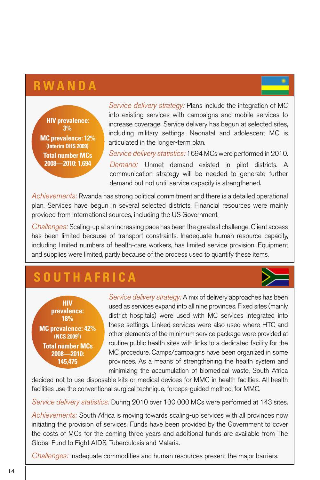#### <span id="page-17-0"></span>**R w a n d a**

**HIV prevalence: 3% MC prevalence: 12% (Interim DHS 2009) Total number MCs 2008—2010: 1,694**

*Service delivery strategy:* Plans include the integration of MC into existing services with campaigns and mobile services to increase coverage. Service delivery has begun at selected sites, including military settings. Neonatal and adolescent MC is articulated in the longer-term plan.

*Service delivery statistics:* 1694 MCs were performed in 2010. *Demand:* Unmet demand existed in pilot districts. A communication strategy will be needed to generate further demand but not until service capacity is strengthened.

*Achievements:* Rwanda has strong political commitment and there is a detailed operational plan. Services have begun in several selected districts. Financial resources were mainly provided from international sources, including the US Government.

*Challenges:* Scaling-up at an increasing pace has been the greatest challenge. Client access has been limited because of transport constraints. Inadequate human resource capacity, including limited numbers of health-care workers, has limited service provision. Equipment and supplies were limited, partly because of the process used to quantify these items.

# **So u t h Af r i c a**

**HIV prevalence: 18% MC prevalence: 42% (NCS 20096 ) Total number MCs 2008—2010: 145,475**

*Service delivery strategy:* A mix of delivery approaches has been used as services expand into all nine provinces. Fixed sites (mainly district hospitals) were used with MC services integrated into these settings. Linked services were also used where HTC and other elements of the minimum service package were provided at routine public health sites with links to a dedicated facility for the MC procedure. Camps/campaigns have been organized in some provinces. As a means of strengthening the health system and minimizing the accumulation of biomedical waste, South Africa

decided not to use disposable kits or medical devices for MMC in health facilties. All health facilities use the conventional surgical technique, forceps-guided method, for MMC.

*Service delivery statistics:* During 2010 over 130 000 MCs were performed at 143 sites.

*Achievements:* South Africa is moving towards scaling-up services with all provinces now initiating the provision of services. Funds have been provided by the Government to cover the costs of MCs for the coming three years and additional funds are available from The Global Fund to Fight AIDS, Tuberculosis and Malaria.

*Challenges:* Inadequate commodities and human resources present the major barriers.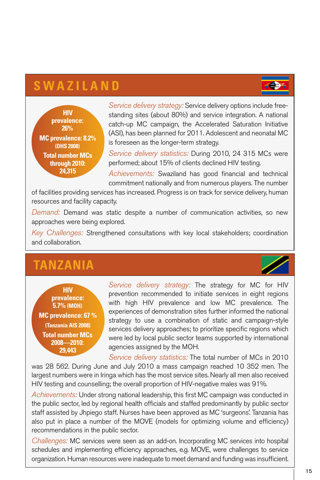#### <span id="page-18-0"></span>**S wazi l a n d**



**HIV prevalence: 26% MC prevalence: 8.2% (DHS 2008) Total number MCs through 2010: 24,315**

*Service delivery strategy:* Service delivery options include freestanding sites (about 80%) and service integration. A national catch-up MC campaign, the Accelerated Saturation Initiative (ASI), has been planned for 2011. Adolescent and neonatal MC is foreseen as the longer-term strategy.

*Service delivery statistics:* During 2010, 24 315 MCs were performed; about 15% of clients declined HIV testing.

*Achievements:* Swaziland has good financial and technical commitment nationally and from numerous players. The number

of facilities providing services has increased. Progress is on track for service delivery, human resources and facility capacity.

*Demand:* Demand was static despite a number of communication activities, so new approaches were being explored.

*Key Challenges:* Strengthened consultations with key local stakeholders; coordination and collaboration.

### **Tanzania**

**HIV prevalence: 5.7% (MOH) MC prevalence: 67 % (Tanzania AIS 2008) Total number MCs 2008—2010: 29,443**

*Service delivery strategy:* The strategy for MC for HIV prevention recommended to initiate services in eight regions with high HIV prevalence and low MC prevalence. The experiences of demonstration sites further informed the national strategy to use a combination of static and campaign-style services delivery approaches; to prioritize specific regions which were led by local public sector teams supported by international agencies assigned by the MOH.

*Service delivery statistics:* The total number of MCs in 2010 was 28 562. During June and July 2010 a mass campaign reached 10 352 men. The largest numbers were in Iringa which has the most service sites. Nearly all men also received HIV testing and counselling; the overall proportion of HIV-negative males was 91%.

*Achievements:* Under strong national leadership, this first MC campaign was conducted in the public sector, led by regional health officials and staffed predominantly by public sector staff assisted by Jhpiego staff. Nurses have been approved as MC 'surgeons'. Tanzania has also put in place a number of the MOVE (models for optimizing volume and efficiency) recommendations in the public sector.

*Challenges:* MC services were seen as an add-on. Incorporating MC services into hospital schedules and implementing efficiency approaches, e.g. MOVE, were challenges to service organization. Human resources were inadequate to meet demand and funding was insufficient.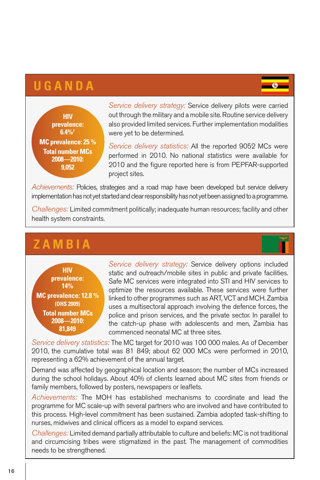### <span id="page-19-0"></span>**U g a n d a**



**HIV prevalence: 6.4%7 MC prevalence: 25 % Total number MCs 2008—2010: 9,052** 

*Service delivery strategy:* Service delivery pilots were carried out through the military and a mobile site. Routine service delivery also provided limited services. Further implementation modalities were yet to be determined.

*Service delivery statistics:* All the reported 9052 MCs were performed in 2010. No national statistics were available for 2010 and the figure reported here is from PEPFAR-supported project sites.

*Achievements:* Policies, strategies and a road map have been developed but service delivery implementation has not yet started and clear responsibility has not yet been assigned to a programme.

*Challenges:* Limited commitment politically; inadequate human resources; facility and other health system constraints.

# **Z a m b i a**

**HIV prevalence: 14% MC prevalence: 12.8 % (DHS 2009) Total number MCs 2008—2010: 81,849** 

*Service delivery strategy:* Service delivery options included static and outreach/mobile sites in public and private facilities. Safe MC services were integrated into STI and HIV services to optimize the resources available. These services were further linked to other programmes such as ART, VCT and MCH. Zambia uses a multisectoral approach involving the defence forces, the police and prison services, and the private sector. In parallel to the catch-up phase with adolescents and men, Zambia has commenced neonatal MC at three sites.

*Service delivery statistics:* The MC target for 2010 was 100 000 males. As of December 2010, the cumulative total was 81 849; about 62 000 MCs were performed in 2010, representing a 62% achievement of the annual target.

Demand was affected by geographical location and season; the number of MCs increased during the school holidays. About 40% of clients learned about MC sites from friends or family members, followed by posters, newspapers or leaflets.

*Achievements:* The MOH has established mechanisms to coordinate and lead the programme for MC scale-up with several partners who are involved and have contributed to this process. High-level commitment has been sustained. Zambia adopted task-shifting to nurses, midwives and clinical officers as a model to expand services.

*Challenges:* Limited demand partially attributable to culture and beliefs: MC is not traditional and circumcising tribes were stigmatized in the past. The management of commodities needs to be strengthened.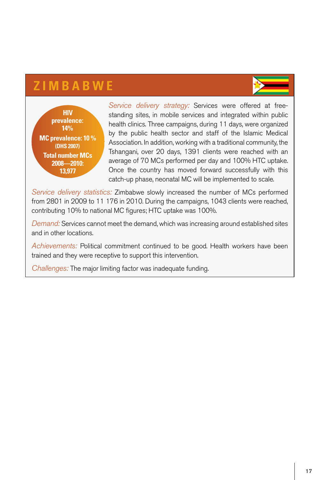### <span id="page-20-0"></span>**Z i m b a b w e**





*Service delivery strategy:* Services were offered at freestanding sites, in mobile services and integrated within public health clinics. Three campaigns, during 11 days, were organized by the public health sector and staff of the Islamic Medical Association. In addition, working with a traditional community, the Tshangani, over 20 days, 1391 clients were reached with an average of 70 MCs performed per day and 100% HTC uptake. Once the country has moved forward successfully with this catch-up phase, neonatal MC will be implemented to scale.

*Service delivery statistics:* Zimbabwe slowly increased the number of MCs performed from 2801 in 2009 to 11 176 in 2010. During the campaigns, 1043 clients were reached, contributing 10% to national MC figures; HTC uptake was 100%.

*Demand:* Services cannot meet the demand, which was increasing around established sites and in other locations.

*Achievements:* Political commitment continued to be good. Health workers have been trained and they were receptive to support this intervention.

*Challenges:* The major limiting factor was inadequate funding.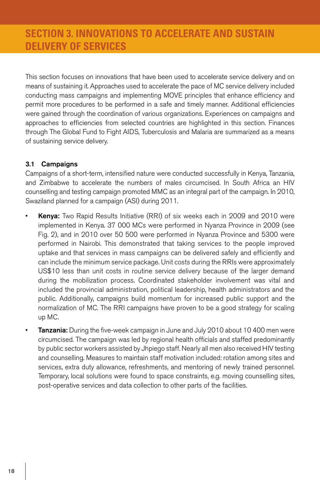<span id="page-21-0"></span>This section focuses on innovations that have been used to accelerate service delivery and on means of sustaining it. Approaches used to accelerate the pace of MC service delivery included conducting mass campaigns and implementing MOVE principles that enhance efficiency and permit more procedures to be performed in a safe and timely manner. Additional efficiencies were gained through the coordination of various organizations. Experiences on campaigns and approaches to efficiencies from selected countries are highlighted in this section. Finances through The Global Fund to Fight AIDS, Tuberculosis and Malaria are summarized as a means of sustaining service delivery.

#### 3.1 Campaigns

Campaigns of a short-term, intensified nature were conducted successfully in Kenya, Tanzania, and Zimbabwe to accelerate the numbers of males circumcised. In South Africa an HIV counselling and testing campaign promoted MMC as an integral part of the campaign. In 2010, Swaziland planned for a campaign (ASI) during 2011.

- Kenya: Two Rapid Results Initiative (RRI) of six weeks each in 2009 and 2010 were implemented in Kenya. 37 000 MCs were performed in Nyanza Province in 2009 (see Fig. 2), and in 2010 over 50 500 were performed in Nyanza Province and 5300 were performed in Nairobi. This demonstrated that taking services to the people improved uptake and that services in mass campaigns can be delivered safely and efficiently and can include the minimum service package. Unit costs during the RRIs were approximately US\$10 less than unit costs in routine service delivery because of the larger demand during the mobilization process. Coordinated stakeholder involvement was vital and included the provincial administration, political leadership, health administrators and the public. Additionally, campaigns build momentum for increased public support and the normalization of MC. The RRI campaigns have proven to be a good strategy for scaling up MC.
- Tanzania: During the five-week campaign in June and July 2010 about 10 400 men were circumcised. The campaign was led by regional health officials and staffed predominantly by public sector workers assisted by Jhpiego staff. Nearly all men also received HIV testing and counselling. Measures to maintain staff motivation included: rotation among sites and services, extra duty allowance, refreshments, and mentoring of newly trained personnel. Temporary, local solutions were found to space constraints, e.g. moving counselling sites, post-operative services and data collection to other parts of the facilities.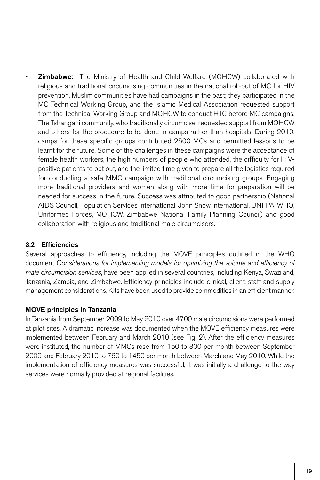<span id="page-22-0"></span>**Zimbabwe:** The Ministry of Health and Child Welfare (MOHCW) collaborated with religious and traditional circumcising communities in the national roll-out of MC for HIV prevention. Muslim communities have had campaigns in the past; they participated in the MC Technical Working Group, and the Islamic Medical Association requested support from the Technical Working Group and MOHCW to conduct HTC before MC campaigns. The Tshangani community, who traditionally circumcise, requested support from MOHCW and others for the procedure to be done in camps rather than hospitals. During 2010, camps for these specific groups contributed 2500 MCs and permitted lessons to be learnt for the future. Some of the challenges in these campaigns were the acceptance of female health workers, the high numbers of people who attended, the difficulty for HIVpositive patients to opt out, and the limited time given to prepare all the logistics required for conducting a safe MMC campaign with traditional circumcising groups. Engaging more traditional providers and women along with more time for preparation will be needed for success in the future. Success was attributed to good partnership (National AIDS Council, Population Services International, John Snow International, UNFPA, WHO, Uniformed Forces, MOHCW, Zimbabwe National Family Planning Council) and good collaboration with religious and traditional male circumcisers.

#### 3.2 Efficiencies

Several approaches to efficiency, including the MOVE priniciples outlined in the WHO document *Considerations for implementing models for optimizing the volume and efficiency of male circumcision services*, have been applied in several countries, including Kenya, Swaziland, Tanzania, Zambia, and Zimbabwe. Efficiency principles include clinical, client, staff and supply management considerations. Kits have been used to provide commodities in an efficient manner.

#### MOVE principles in Tanzania

In Tanzania from September 2009 to May 2010 over 4700 male circumcisions were performed at pilot sites. A dramatic increase was documented when the MOVE efficiency measures were implemented between February and March 2010 (see Fig. 2). After the efficiency measures were instituted, the number of MMCs rose from 150 to 300 per month between September 2009 and February 2010 to 760 to 1450 per month between March and May 2010. While the implementation of efficiency measures was successful, it was initially a challenge to the way services were normally provided at regional facilities.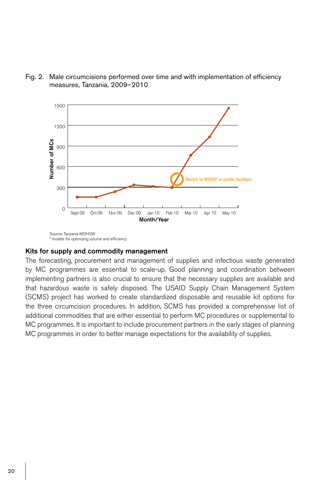



#### Source: Tanzania MOHSW \* models for optimizing volume and efficiency

#### Kits for supply and commodity management

The forecasting, procurement and management of supplies and infectious waste generated by MC programmes are essential to scale-up. Good planning and coordination between implementing partners is also crucial to ensure that the necessary supplies are available and that hazardous waste is safely disposed. The USAID Supply Chain Management System (SCMS) project has worked to create standardized disposable and reusable kit options for the three circumcision procedures. In addition, SCMS has provided a comprehensive list of additional commodities that are either essential to perform MC procedures or supplemental to MC programmes. It is important to include procurement partners in the early stages of planning MC programmes in order to better manage expectations for the availability of supplies.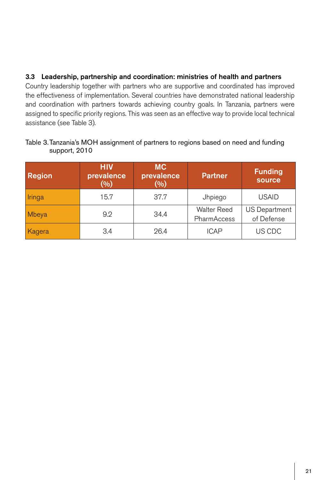#### <span id="page-24-0"></span>3.3 Leadership, partnership and coordination: ministries of health and partners

Country leadership together with partners who are supportive and coordinated has improved the effectiveness of implementation. Several countries have demonstrated national leadership and coordination with partners towards achieving country goals. In Tanzania, partners were assigned to specific priority regions. This was seen as an effective way to provide local technical assistance (see Table 3).

| Table 3. Tanzania's MOH assignment of partners to regions based on need and funding |  |
|-------------------------------------------------------------------------------------|--|
| support, 2010                                                                       |  |

| <b>Region</b> | <b>HIV</b><br>prevalence<br>(%) | <b>MC</b><br>prevalence<br>(%) | <b>Partner</b>                    | <b>Funding</b><br>source           |
|---------------|---------------------------------|--------------------------------|-----------------------------------|------------------------------------|
| Iringa        | 15.7                            | 37.7                           | Jhpiego                           | <b>USAID</b>                       |
| Mbeya         | 9.2                             | 34.4                           | <b>Walter Reed</b><br>PharmAccess | <b>US Department</b><br>of Defense |
| Kagera        | 3.4                             | 26.4                           | <b>ICAP</b>                       | US CDC                             |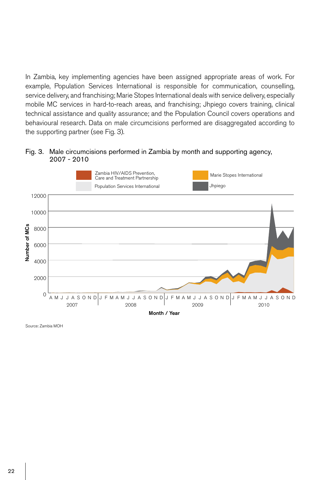In Zambia, key implementing agencies have been assigned appropriate areas of work. For example, Population Services International is responsible for communication, counselling, service delivery, and franchising; Marie Stopes International deals with service delivery, especially mobile MC services in hard-to-reach areas, and franchising; Jhpiego covers training, clinical technical assistance and quality assurance; and the Population Council covers operations and behavioural research. Data on male circumcisions performed are disaggregated according to the supporting partner (see Fig. 3).





Source: Zambia MOH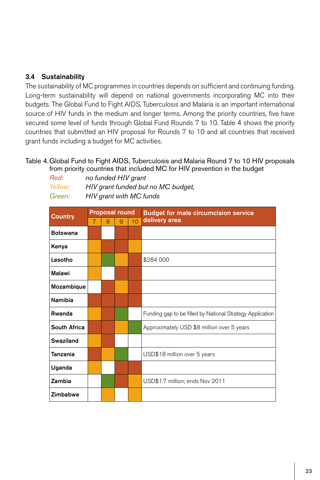#### <span id="page-26-0"></span>3.4 Sustainability

The sustainability of MC programmes in countries depends on sufficient and continuing funding. Long-term sustainability will depend on national governments incorporating MC into their budgets. The Global Fund to Fight AIDS, Tuberculosis and Malaria is an important international source of HIV funds in the medium and longer terms. Among the priority countries, five have secured some level of funds through Global Fund Rounds 7 to 10. Table 4 shows the priority countries that submitted an HIV proposal for Rounds 7 to 10 and all countries that received grant funds including a budget for MC activities.

Table 4.Global Fund to Fight AIDS, Tuberculosis and Malaria Round 7 to 10 HIV proposals from priority countries that included MC for HIV prevention in the budget

| Red:    | no funded HIV grant                |
|---------|------------------------------------|
| Yellow: | HIV grant funded but no MC budget, |
| Green:  | HIV grant with MC funds            |

| <b>Country</b>   | <b>Proposal round</b> |   |   | <b>Budget for male circumcision service</b> |                                                           |
|------------------|-----------------------|---|---|---------------------------------------------|-----------------------------------------------------------|
|                  | 7                     | 8 | 9 | 10                                          | delivery area                                             |
| <b>Botswana</b>  |                       |   |   |                                             |                                                           |
| Kenya            |                       |   |   |                                             |                                                           |
| Lesotho          |                       |   |   |                                             | \$284 000                                                 |
| Malawi           |                       |   |   |                                             |                                                           |
| Mozambique       |                       |   |   |                                             |                                                           |
| Namibia          |                       |   |   |                                             |                                                           |
| Rwanda           |                       |   |   |                                             | Funding gap to be filled by National Strategy Application |
| South Africa     |                       |   |   |                                             | Approximately USD \$8 million over 5 years                |
| <b>Swaziland</b> |                       |   |   |                                             |                                                           |
| <b>Tanzania</b>  |                       |   |   |                                             | USD\$18 million over 5 years                              |
| Uganda           |                       |   |   |                                             |                                                           |
| Zambia           |                       |   |   |                                             | USD\$1.7 million; ends Nov 2011                           |
| Zimbabwe         |                       |   |   |                                             |                                                           |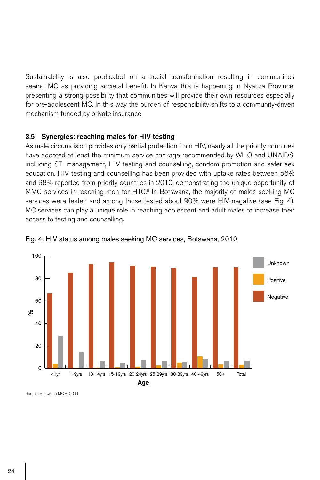<span id="page-27-0"></span>Sustainability is also predicated on a social transformation resulting in communities seeing MC as providing societal benefit. In Kenya this is happening in Nyanza Province, presenting a strong possibility that communities will provide their own resources especially for pre-adolescent MC. In this way the burden of responsibility shifts to a community-driven mechanism funded by private insurance.

#### 3.5 Synergies: reaching males for HIV testing

As male circumcision provides only partial protection from HIV, nearly all the priority countries have adopted at least the minimum service package recommended by WHO and UNAIDS, including STI management, HIV testing and counselling, condom promotion and safer sex education. HIV testing and counselling has been provided with uptake rates between 56% and 98% reported from priority countries in 2010, demonstrating the unique opportunity of MMC services in reaching men for HTC.<sup>8</sup> In Botswana, the majority of males seeking MC services were tested and among those tested about 90% were HIV-negative (see Fig. 4). MC services can play a unique role in reaching adolescent and adult males to increase their access to testing and counselling.



#### Fig. 4. HIV status among males seeking MC services, Botswana, 2010

Source: Botswana MOH, 2011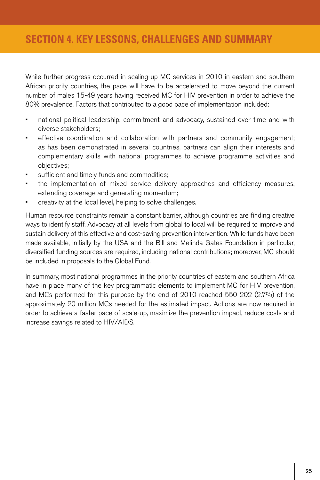#### <span id="page-28-0"></span>**Section 4. Key lessons, challenges and summary**

While further progress occurred in scaling-up MC services in 2010 in eastern and southern African priority countries, the pace will have to be accelerated to move beyond the current number of males 15-49 years having received MC for HIV prevention in order to achieve the 80% prevalence. Factors that contributed to a good pace of implementation included:

- national political leadership, commitment and advocacy, sustained over time and with diverse stakeholders;
- effective coordination and collaboration with partners and community engagement; as has been demonstrated in several countries, partners can align their interests and complementary skills with national programmes to achieve programme activities and objectives;
- sufficient and timely funds and commodities;
- the implementation of mixed service delivery approaches and efficiency measures, extending coverage and generating momentum;
- creativity at the local level, helping to solve challenges.

Human resource constraints remain a constant barrier, although countries are finding creative ways to identify staff. Advocacy at all levels from global to local will be required to improve and sustain delivery of this effective and cost-saving prevention intervention. While funds have been made available, initially by the USA and the Bill and Melinda Gates Foundation in particular, diversified funding sources are required, including national contributions; moreover, MC should be included in proposals to the Global Fund.

In summary, most national programmes in the priority countries of eastern and southern Africa have in place many of the key programmatic elements to implement MC for HIV prevention, and MCs performed for this purpose by the end of 2010 reached 550 202 (2.7%) of the approximately 20 million MCs needed for the estimated impact. Actions are now required in order to achieve a faster pace of scale-up, maximize the prevention impact, reduce costs and increase savings related to HIV/AIDS.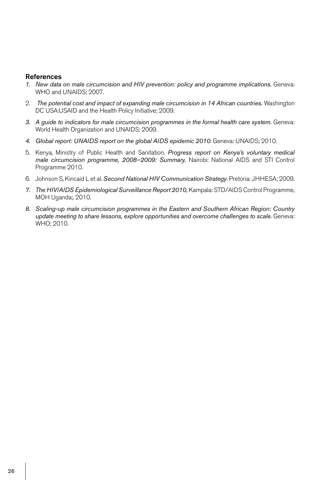#### <span id="page-29-0"></span>References

- *1. New data on male circumcision and HIV prevention: policy and programme implications.* Geneva: WHO and UNAIDS; 2007.
- 2. *The potential cost and impact of expanding male circumcision in 14 African countries.* Washington DC USA:USAID and the Health Policy Initiative; 2009.
- *3. A guide to indicators for male circumcision programmes in the formal health care system.* Geneva: World Health Organization and UNAIDS; 2009.
- *4. Global report: UNAIDS report on the global AIDS epidemic 2010*. Geneva: UNAIDS; 2010.
- 5. Kenya, Ministry of Public Health and Sanitation. *Progress report on Kenya's voluntary medical male circumcision programme, 2008–2009: Summary.* Nairobi: National AIDS and STI Control Programme 2010.
- 6. Johnson S, Kincaid L et al. *Second National HIV Communication Strategy*. Pretoria: JHHESA; 2009.
- 7. The HIV/AIDS Epidemiological Surveillance Report 2010, Kampala: STD/AIDS Control Programme, MOH Uganda;. 2010.
- *8. Scaling-up male circumcision programmes in the Eastern and Southern African Region: Country update meeting to share lessons, explore opportunities and overcome challenges to scale.* Geneva: WHO; 2010.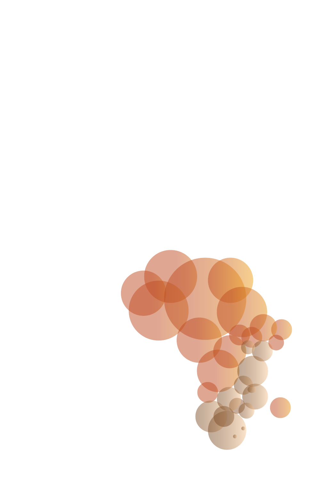